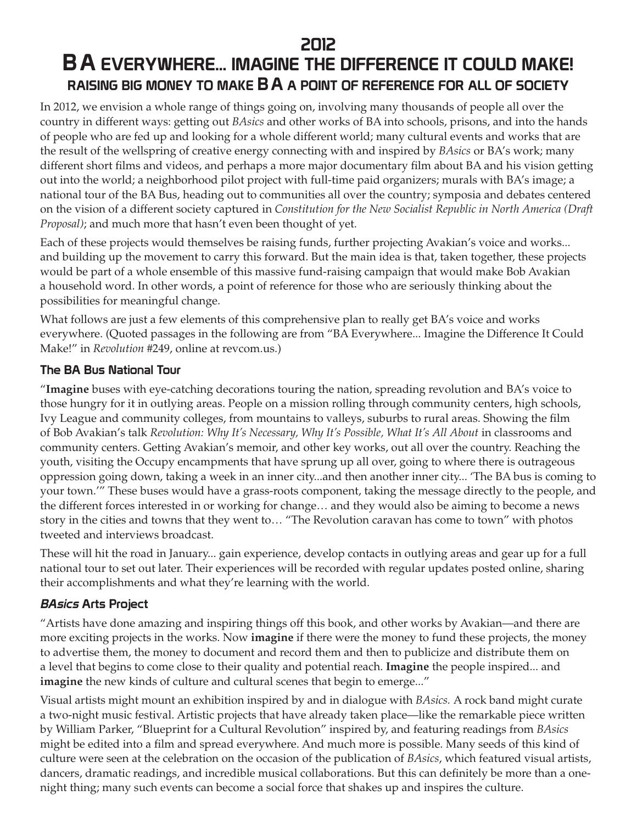## 2012

# B A EVERYWHERE... IMAGINE THE DIFFERENCE IT COULD MAKE! RAISING BIG MONEY TO MAKE **B A** A POINT OF REFERENCE FOR ALL OF SOCIETY

In 2012, we envision a whole range of things going on, involving many thousands of people all over the country in different ways: getting out *BAsics* and other works of BA into schools, prisons, and into the hands of people who are fed up and looking for a whole different world; many cultural events and works that are the result of the wellspring of creative energy connecting with and inspired by *BAsics* or BA's work; many different short films and videos, and perhaps a more major documentary film about BA and his vision getting out into the world; a neighborhood pilot project with full-time paid organizers; murals with BA's image; a national tour of the BA Bus, heading out to communities all over the country; symposia and debates centered on the vision of a different society captured in *Constitution for the New Socialist Republic in North America (Draft Proposal)*; and much more that hasn't even been thought of yet.

Each of these projects would themselves be raising funds, further projecting Avakian's voice and works... and building up the movement to carry this forward. But the main idea is that, taken together, these projects would be part of a whole ensemble of this massive fund-raising campaign that would make Bob Avakian a household word. In other words, a point of reference for those who are seriously thinking about the possibilities for meaningful change.

What follows are just a few elements of this comprehensive plan to really get BA's voice and works everywhere. (Quoted passages in the following are from "BA Everywhere... Imagine the Difference It Could Make!" in *Revolution* #249, online at revcom.us.)

### The BA Bus National Tour

"**Imagine** buses with eye-catching decorations touring the nation, spreading revolution and BA's voice to those hungry for it in outlying areas. People on a mission rolling through community centers, high schools, Ivy League and community colleges, from mountains to valleys, suburbs to rural areas. Showing the film of Bob Avakian's talk *Revolution: Why It's Necessary, Why It's Possible, What It's All About* in classrooms and community centers. Getting Avakian's memoir, and other key works, out all over the country. Reaching the youth, visiting the Occupy encampments that have sprung up all over, going to where there is outrageous oppression going down, taking a week in an inner city...and then another inner city... 'The BA bus is coming to your town.'" These buses would have a grass-roots component, taking the message directly to the people, and the different forces interested in or working for change… and they would also be aiming to become a news story in the cities and towns that they went to… "The Revolution caravan has come to town" with photos tweeted and interviews broadcast.

These will hit the road in January... gain experience, develop contacts in outlying areas and gear up for a full national tour to set out later. Their experiences will be recorded with regular updates posted online, sharing their accomplishments and what they're learning with the world.

## BAsics Arts Project

"Artists have done amazing and inspiring things off this book, and other works by Avakian—and there are more exciting projects in the works. Now **imagine** if there were the money to fund these projects, the money to advertise them, the money to document and record them and then to publicize and distribute them on a level that begins to come close to their quality and potential reach. **Imagine** the people inspired... and **imagine** the new kinds of culture and cultural scenes that begin to emerge..."

Visual artists might mount an exhibition inspired by and in dialogue with *BAsics.* A rock band might curate a two-night music festival. Artistic projects that have already taken place—like the remarkable piece written by William Parker, "Blueprint for a Cultural Revolution" inspired by, and featuring readings from *BAsics* might be edited into a film and spread everywhere. And much more is possible. Many seeds of this kind of culture were seen at the celebration on the occasion of the publication of *BAsics*, which featured visual artists, dancers, dramatic readings, and incredible musical collaborations. But this can definitely be more than a onenight thing; many such events can become a social force that shakes up and inspires the culture.